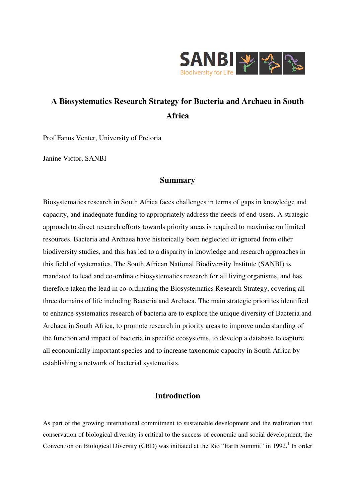

# **A Biosystematics Research Strategy for Bacteria and Archaea in South Africa**

Prof Fanus Venter, University of Pretoria

Janine Victor, SANBI

### **Summary**

Biosystematics research in South Africa faces challenges in terms of gaps in knowledge and capacity, and inadequate funding to appropriately address the needs of end-users. A strategic approach to direct research efforts towards priority areas is required to maximise on limited resources. Bacteria and Archaea have historically been neglected or ignored from other biodiversity studies, and this has led to a disparity in knowledge and research approaches in this field of systematics. The South African National Biodiversity Institute (SANBI) is mandated to lead and co-ordinate biosystematics research for all living organisms, and has therefore taken the lead in co-ordinating the Biosystematics Research Strategy, covering all three domains of life including Bacteria and Archaea. The main strategic priorities identified to enhance systematics research of bacteria are to explore the unique diversity of Bacteria and Archaea in South Africa, to promote research in priority areas to improve understanding of the function and impact of bacteria in specific ecosystems, to develop a database to capture all economically important species and to increase taxonomic capacity in South Africa by establishing a network of bacterial systematists.

### **Introduction**

As part of the growing international commitment to sustainable development and the realization that conservation of biological diversity is critical to the success of economic and social development, the Convention on Biological Diversity (CBD) was initiated at the Rio "Earth Summit" in 1992.<sup>1</sup> In order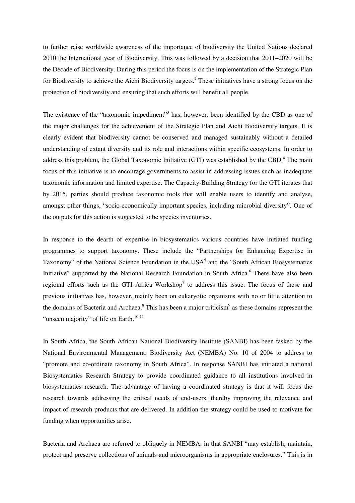to further raise worldwide awareness of the importance of biodiversity the United Nations declared 2010 the International year of Biodiversity. This was followed by a decision that 2011–2020 will be the Decade of Biodiversity. During this period the focus is on the implementation of the Strategic Plan for Biodiversity to achieve the Aichi Biodiversity targets.<sup>2</sup> These initiatives have a strong focus on the protection of biodiversity and ensuring that such efforts will benefit all people.

The existence of the "taxonomic impediment"<sup>3</sup> has, however, been identified by the CBD as one of the major challenges for the achievement of the Strategic Plan and Aichi Biodiversity targets. It is clearly evident that biodiversity cannot be conserved and managed sustainably without a detailed understanding of extant diversity and its role and interactions within specific ecosystems. In order to address this problem, the Global Taxonomic Initiative (GTI) was established by the CBD.<sup>4</sup> The main focus of this initiative is to encourage governments to assist in addressing issues such as inadequate taxonomic information and limited expertise. The Capacity-Building Strategy for the GTI iterates that by 2015, parties should produce taxonomic tools that will enable users to identify and analyse, amongst other things, "socio-economically important species, including microbial diversity". One of the outputs for this action is suggested to be species inventories.

In response to the dearth of expertise in biosystematics various countries have initiated funding programmes to support taxonomy. These include the "Partnerships for Enhancing Expertise in Taxonomy" of the National Science Foundation in the USA<sup>5</sup> and the "South African Biosystematics Initiative" supported by the National Research Foundation in South Africa.<sup>6</sup> There have also been regional efforts such as the GTI Africa Workshop<sup>7</sup> to address this issue. The focus of these and previous initiatives has, however, mainly been on eukaryotic organisms with no or little attention to the domains of Bacteria and Archaea. $^8$  This has been a major criticism<sup>9</sup> as these domains represent the "unseen majority" of life on Earth.<sup>10-11</sup>

In South Africa, the South African National Biodiversity Institute (SANBI) has been tasked by the National Environmental Management: Biodiversity Act (NEMBA) No. 10 of 2004 to address to "promote and co-ordinate taxonomy in South Africa". In response SANBI has initiated a national Biosystematics Research Strategy to provide coordinated guidance to all institutions involved in biosystematics research. The advantage of having a coordinated strategy is that it will focus the research towards addressing the critical needs of end-users, thereby improving the relevance and impact of research products that are delivered. In addition the strategy could be used to motivate for funding when opportunities arise.

Bacteria and Archaea are referred to obliquely in NEMBA, in that SANBI "may establish, maintain, protect and preserve collections of animals and microorganisms in appropriate enclosures." This is in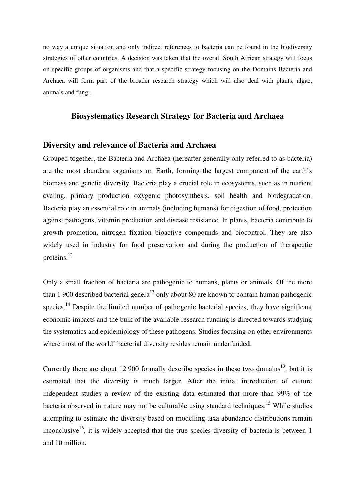no way a unique situation and only indirect references to bacteria can be found in the biodiversity strategies of other countries. A decision was taken that the overall South African strategy will focus on specific groups of organisms and that a specific strategy focusing on the Domains Bacteria and Archaea will form part of the broader research strategy which will also deal with plants, algae, animals and fungi.

### **Biosystematics Research Strategy for Bacteria and Archaea**

#### **Diversity and relevance of Bacteria and Archaea**

Grouped together, the Bacteria and Archaea (hereafter generally only referred to as bacteria) are the most abundant organisms on Earth, forming the largest component of the earth's biomass and genetic diversity. Bacteria play a crucial role in ecosystems, such as in nutrient cycling, primary production oxygenic photosynthesis, soil health and biodegradation. Bacteria play an essential role in animals (including humans) for digestion of food, protection against pathogens, vitamin production and disease resistance. In plants, bacteria contribute to growth promotion, nitrogen fixation bioactive compounds and biocontrol. They are also widely used in industry for food preservation and during the production of therapeutic proteins.<sup>12</sup>

Only a small fraction of bacteria are pathogenic to humans, plants or animals. Of the more than 1 900 described bacterial genera<sup>13</sup> only about 80 are known to contain human pathogenic species.<sup>14</sup> Despite the limited number of pathogenic bacterial species, they have significant economic impacts and the bulk of the available research funding is directed towards studying the systematics and epidemiology of these pathogens. Studies focusing on other environments where most of the world' bacterial diversity resides remain underfunded.

Currently there are about 12 900 formally describe species in these two domains<sup>13</sup>, but it is estimated that the diversity is much larger. After the initial introduction of culture independent studies a review of the existing data estimated that more than 99% of the bacteria observed in nature may not be culturable using standard techniques.<sup>15</sup> While studies attempting to estimate the diversity based on modelling taxa abundance distributions remain inconclusive<sup>16</sup>, it is widely accepted that the true species diversity of bacteria is between 1 and 10 million.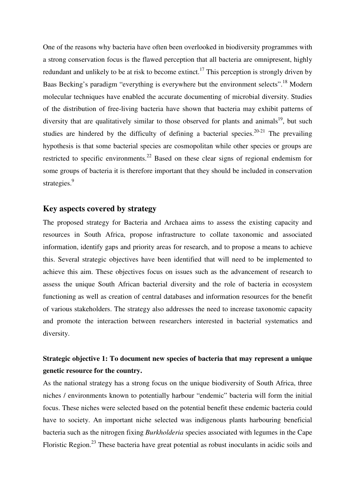One of the reasons why bacteria have often been overlooked in biodiversity programmes with a strong conservation focus is the flawed perception that all bacteria are omnipresent, highly redundant and unlikely to be at risk to become extinct.<sup>17</sup> This perception is strongly driven by Baas Becking's paradigm "everything is everywhere but the environment selects".<sup>18</sup> Modern molecular techniques have enabled the accurate documenting of microbial diversity. Studies of the distribution of free-living bacteria have shown that bacteria may exhibit patterns of diversity that are qualitatively similar to those observed for plants and animals<sup>19</sup>, but such studies are hindered by the difficulty of defining a bacterial species.<sup>20-21</sup> The prevailing hypothesis is that some bacterial species are cosmopolitan while other species or groups are restricted to specific environments.<sup>22</sup> Based on these clear signs of regional endemism for some groups of bacteria it is therefore important that they should be included in conservation strategies.<sup>9</sup>

### **Key aspects covered by strategy**

The proposed strategy for Bacteria and Archaea aims to assess the existing capacity and resources in South Africa, propose infrastructure to collate taxonomic and associated information, identify gaps and priority areas for research, and to propose a means to achieve this. Several strategic objectives have been identified that will need to be implemented to achieve this aim. These objectives focus on issues such as the advancement of research to assess the unique South African bacterial diversity and the role of bacteria in ecosystem functioning as well as creation of central databases and information resources for the benefit of various stakeholders. The strategy also addresses the need to increase taxonomic capacity and promote the interaction between researchers interested in bacterial systematics and diversity.

## **Strategic objective 1: To document new species of bacteria that may represent a unique genetic resource for the country.**

As the national strategy has a strong focus on the unique biodiversity of South Africa, three niches / environments known to potentially harbour "endemic" bacteria will form the initial focus. These niches were selected based on the potential benefit these endemic bacteria could have to society. An important niche selected was indigenous plants harbouring beneficial bacteria such as the nitrogen fixing *Burkholderia* species associated with legumes in the Cape Floristic Region.<sup>23</sup> These bacteria have great potential as robust inoculants in acidic soils and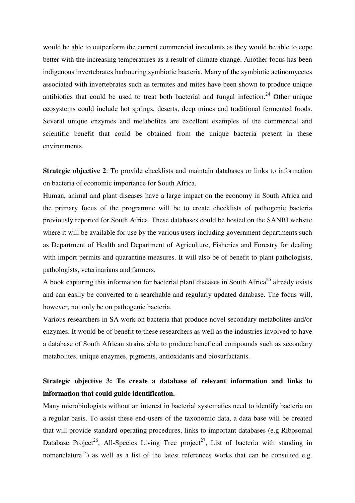would be able to outperform the current commercial inoculants as they would be able to cope better with the increasing temperatures as a result of climate change. Another focus has been indigenous invertebrates harbouring symbiotic bacteria. Many of the symbiotic actinomycetes associated with invertebrates such as termites and mites have been shown to produce unique antibiotics that could be used to treat both bacterial and fungal infection.<sup>24</sup> Other unique ecosystems could include hot springs, deserts, deep mines and traditional fermented foods. Several unique enzymes and metabolites are excellent examples of the commercial and scientific benefit that could be obtained from the unique bacteria present in these environments.

**Strategic objective 2:** To provide checklists and maintain databases or links to information on bacteria of economic importance for South Africa.

Human, animal and plant diseases have a large impact on the economy in South Africa and the primary focus of the programme will be to create checklists of pathogenic bacteria previously reported for South Africa. These databases could be hosted on the SANBI website where it will be available for use by the various users including government departments such as Department of Health and Department of Agriculture, Fisheries and Forestry for dealing with import permits and quarantine measures. It will also be of benefit to plant pathologists, pathologists, veterinarians and farmers.

A book capturing this information for bacterial plant diseases in South Africa<sup>25</sup> already exists and can easily be converted to a searchable and regularly updated database. The focus will, however, not only be on pathogenic bacteria.

Various researchers in SA work on bacteria that produce novel secondary metabolites and/or enzymes. It would be of benefit to these researchers as well as the industries involved to have a database of South African strains able to produce beneficial compounds such as secondary metabolites, unique enzymes, pigments, antioxidants and biosurfactants.

# **Strategic objective 3: To create a database of relevant information and links to information that could guide identification.**

Many microbiologists without an interest in bacterial systematics need to identify bacteria on a regular basis. To assist these end-users of the taxonomic data, a data base will be created that will provide standard operating procedures, links to important databases (e.g Ribosomal Database Project<sup>26</sup>, All-Species Living Tree project<sup>27</sup>, List of bacteria with standing in nomenclature<sup>13</sup>) as well as a list of the latest references works that can be consulted e.g.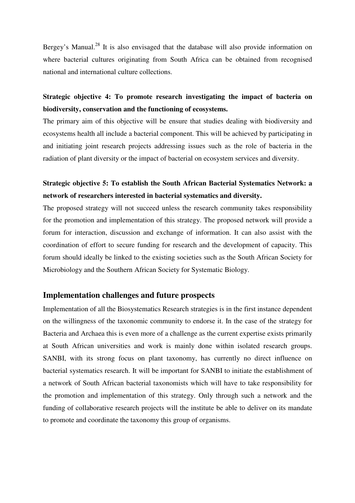Bergey's Manual.<sup>28</sup> It is also envisaged that the database will also provide information on where bacterial cultures originating from South Africa can be obtained from recognised national and international culture collections.

# **Strategic objective 4: To promote research investigating the impact of bacteria on biodiversity, conservation and the functioning of ecosystems.**

The primary aim of this objective will be ensure that studies dealing with biodiversity and ecosystems health all include a bacterial component. This will be achieved by participating in and initiating joint research projects addressing issues such as the role of bacteria in the radiation of plant diversity or the impact of bacterial on ecosystem services and diversity.

# **Strategic objective 5: To establish the South African Bacterial Systematics Network: a network of researchers interested in bacterial systematics and diversity.**

The proposed strategy will not succeed unless the research community takes responsibility for the promotion and implementation of this strategy. The proposed network will provide a forum for interaction, discussion and exchange of information. It can also assist with the coordination of effort to secure funding for research and the development of capacity. This forum should ideally be linked to the existing societies such as the South African Society for Microbiology and the Southern African Society for Systematic Biology.

#### **Implementation challenges and future prospects**

Implementation of all the Biosystematics Research strategies is in the first instance dependent on the willingness of the taxonomic community to endorse it. In the case of the strategy for Bacteria and Archaea this is even more of a challenge as the current expertise exists primarily at South African universities and work is mainly done within isolated research groups. SANBI, with its strong focus on plant taxonomy, has currently no direct influence on bacterial systematics research. It will be important for SANBI to initiate the establishment of a network of South African bacterial taxonomists which will have to take responsibility for the promotion and implementation of this strategy. Only through such a network and the funding of collaborative research projects will the institute be able to deliver on its mandate to promote and coordinate the taxonomy this group of organisms.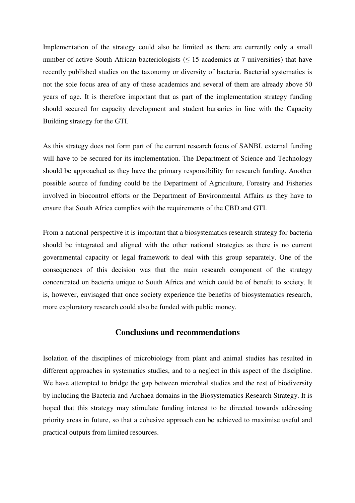Implementation of the strategy could also be limited as there are currently only a small number of active South African bacteriologists ( $\leq$  15 academics at 7 universities) that have recently published studies on the taxonomy or diversity of bacteria. Bacterial systematics is not the sole focus area of any of these academics and several of them are already above 50 years of age. It is therefore important that as part of the implementation strategy funding should secured for capacity development and student bursaries in line with the Capacity Building strategy for the GTI.

As this strategy does not form part of the current research focus of SANBI, external funding will have to be secured for its implementation. The Department of Science and Technology should be approached as they have the primary responsibility for research funding. Another possible source of funding could be the Department of Agriculture, Forestry and Fisheries involved in biocontrol efforts or the Department of Environmental Affairs as they have to ensure that South Africa complies with the requirements of the CBD and GTI.

From a national perspective it is important that a biosystematics research strategy for bacteria should be integrated and aligned with the other national strategies as there is no current governmental capacity or legal framework to deal with this group separately. One of the consequences of this decision was that the main research component of the strategy concentrated on bacteria unique to South Africa and which could be of benefit to society. It is, however, envisaged that once society experience the benefits of biosystematics research, more exploratory research could also be funded with public money.

#### **Conclusions and recommendations**

Isolation of the disciplines of microbiology from plant and animal studies has resulted in different approaches in systematics studies, and to a neglect in this aspect of the discipline. We have attempted to bridge the gap between microbial studies and the rest of biodiversity by including the Bacteria and Archaea domains in the Biosystematics Research Strategy. It is hoped that this strategy may stimulate funding interest to be directed towards addressing priority areas in future, so that a cohesive approach can be achieved to maximise useful and practical outputs from limited resources.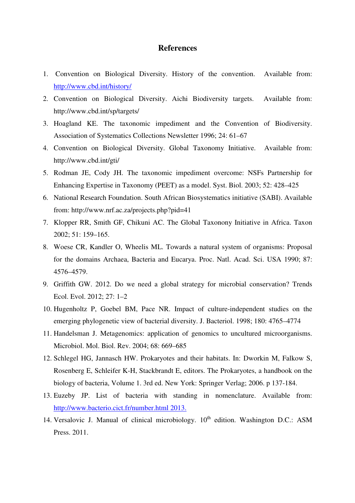#### **References**

- 1. Convention on Biological Diversity. History of the convention. Available from: http://www.cbd.int/history/
- 2. Convention on Biological Diversity. Aichi Biodiversity targets. Available from: http://www.cbd.int/sp/targets/
- 3. Hoagland KE. The taxonomic impediment and the Convention of Biodiversity. Association of Systematics Collections Newsletter 1996; 24: 61–67
- 4. Convention on Biological Diversity. Global Taxonomy Initiative. Available from: http://www.cbd.int/gti/
- 5. Rodman JE, Cody JH. The taxonomic impediment overcome: NSFs Partnership for Enhancing Expertise in Taxonomy (PEET) as a model. Syst. Biol. 2003; 52: 428–425
- 6. National Research Foundation. South African Biosystematics initiative (SABI). Available from: http://www.nrf.ac.za/projects.php?pid=41
- 7. Klopper RR, Smith GF, Chikuni AC. The Global Taxonony Initiative in Africa. Taxon 2002; 51: 159–165.
- 8. Woese CR, Kandler O, Wheelis ML. Towards a natural system of organisms: Proposal for the domains Archaea, Bacteria and Eucarya. Proc. Natl. Acad. Sci. USA 1990; 87: 4576–4579.
- 9. Griffith GW. 2012. Do we need a global strategy for microbial conservation? Trends Ecol. Evol. 2012; 27: 1–2
- 10. Hugenholtz P, Goebel BM, Pace NR. Impact of culture-independent studies on the emerging phylogenetic view of bacterial diversity. J. Bacteriol. 1998; 180: 4765–4774
- 11. Handelsman J. Metagenomics: application of genomics to uncultured microorganisms. Microbiol. Mol. Biol. Rev. 2004; 68: 669–685
- 12. Schlegel HG, Jannasch HW. Prokaryotes and their habitats. In: Dworkin M, Falkow S, Rosenberg E, Schleifer K-H, Stackbrandt E, editors. The Prokaryotes, a handbook on the biology of bacteria, Volume 1. 3rd ed. New York: Springer Verlag; 2006. p 137-184.
- 13. Euzeby JP. List of bacteria with standing in nomenclature. Available from: http://www.bacterio.cict.fr/number.html 2013.
- 14. Versalovic J. Manual of clinical microbiology.  $10^{th}$  edition. Washington D.C.: ASM Press. 2011.